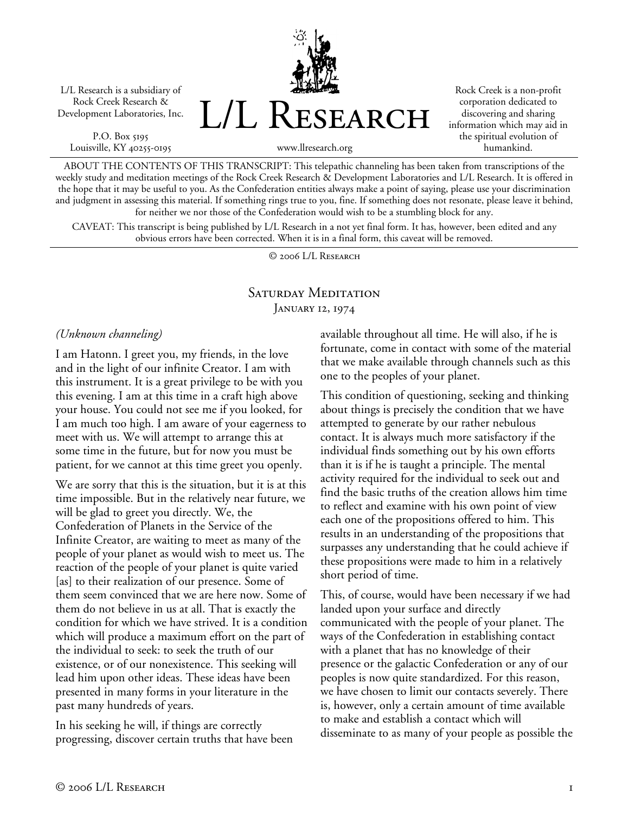L/L Research is a subsidiary of Rock Creek Research & Development Laboratories, Inc.

P.O. Box 5195 Louisville, KY 40255-0195 L/L Research

Rock Creek is a non-profit corporation dedicated to discovering and sharing information which may aid in the spiritual evolution of humankind.

www.llresearch.org

ABOUT THE CONTENTS OF THIS TRANSCRIPT: This telepathic channeling has been taken from transcriptions of the weekly study and meditation meetings of the Rock Creek Research & Development Laboratories and L/L Research. It is offered in the hope that it may be useful to you. As the Confederation entities always make a point of saying, please use your discrimination and judgment in assessing this material. If something rings true to you, fine. If something does not resonate, please leave it behind, for neither we nor those of the Confederation would wish to be a stumbling block for any.

CAVEAT: This transcript is being published by L/L Research in a not yet final form. It has, however, been edited and any obvious errors have been corrected. When it is in a final form, this caveat will be removed.

© 2006 L/L Research

## SATURDAY MEDITATION JANUARY 12, 1974

*(Unknown channeling)* 

I am Hatonn. I greet you, my friends, in the love and in the light of our infinite Creator. I am with this instrument. It is a great privilege to be with you this evening. I am at this time in a craft high above your house. You could not see me if you looked, for I am much too high. I am aware of your eagerness to meet with us. We will attempt to arrange this at some time in the future, but for now you must be patient, for we cannot at this time greet you openly.

We are sorry that this is the situation, but it is at this time impossible. But in the relatively near future, we will be glad to greet you directly. We, the Confederation of Planets in the Service of the Infinite Creator, are waiting to meet as many of the people of your planet as would wish to meet us. The reaction of the people of your planet is quite varied [as] to their realization of our presence. Some of them seem convinced that we are here now. Some of them do not believe in us at all. That is exactly the condition for which we have strived. It is a condition which will produce a maximum effort on the part of the individual to seek: to seek the truth of our existence, or of our nonexistence. This seeking will lead him upon other ideas. These ideas have been presented in many forms in your literature in the past many hundreds of years.

In his seeking he will, if things are correctly progressing, discover certain truths that have been available throughout all time. He will also, if he is fortunate, come in contact with some of the material that we make available through channels such as this one to the peoples of your planet.

This condition of questioning, seeking and thinking about things is precisely the condition that we have attempted to generate by our rather nebulous contact. It is always much more satisfactory if the individual finds something out by his own efforts than it is if he is taught a principle. The mental activity required for the individual to seek out and find the basic truths of the creation allows him time to reflect and examine with his own point of view each one of the propositions offered to him. This results in an understanding of the propositions that surpasses any understanding that he could achieve if these propositions were made to him in a relatively short period of time.

This, of course, would have been necessary if we had landed upon your surface and directly communicated with the people of your planet. The ways of the Confederation in establishing contact with a planet that has no knowledge of their presence or the galactic Confederation or any of our peoples is now quite standardized. For this reason, we have chosen to limit our contacts severely. There is, however, only a certain amount of time available to make and establish a contact which will disseminate to as many of your people as possible the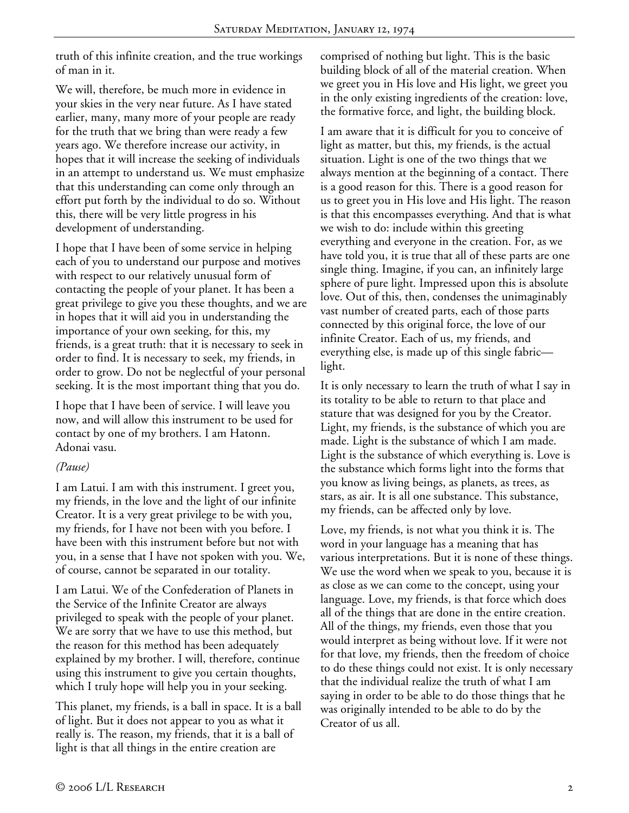truth of this infinite creation, and the true workings of man in it.

We will, therefore, be much more in evidence in your skies in the very near future. As I have stated earlier, many, many more of your people are ready for the truth that we bring than were ready a few years ago. We therefore increase our activity, in hopes that it will increase the seeking of individuals in an attempt to understand us. We must emphasize that this understanding can come only through an effort put forth by the individual to do so. Without this, there will be very little progress in his development of understanding.

I hope that I have been of some service in helping each of you to understand our purpose and motives with respect to our relatively unusual form of contacting the people of your planet. It has been a great privilege to give you these thoughts, and we are in hopes that it will aid you in understanding the importance of your own seeking, for this, my friends, is a great truth: that it is necessary to seek in order to find. It is necessary to seek, my friends, in order to grow. Do not be neglectful of your personal seeking. It is the most important thing that you do.

I hope that I have been of service. I will leave you now, and will allow this instrument to be used for contact by one of my brothers. I am Hatonn. Adonai vasu.

## *(Pause)*

I am Latui. I am with this instrument. I greet you, my friends, in the love and the light of our infinite Creator. It is a very great privilege to be with you, my friends, for I have not been with you before. I have been with this instrument before but not with you, in a sense that I have not spoken with you. We, of course, cannot be separated in our totality.

I am Latui. We of the Confederation of Planets in the Service of the Infinite Creator are always privileged to speak with the people of your planet. We are sorry that we have to use this method, but the reason for this method has been adequately explained by my brother. I will, therefore, continue using this instrument to give you certain thoughts, which I truly hope will help you in your seeking.

This planet, my friends, is a ball in space. It is a ball of light. But it does not appear to you as what it really is. The reason, my friends, that it is a ball of light is that all things in the entire creation are

comprised of nothing but light. This is the basic building block of all of the material creation. When we greet you in His love and His light, we greet you in the only existing ingredients of the creation: love, the formative force, and light, the building block.

I am aware that it is difficult for you to conceive of light as matter, but this, my friends, is the actual situation. Light is one of the two things that we always mention at the beginning of a contact. There is a good reason for this. There is a good reason for us to greet you in His love and His light. The reason is that this encompasses everything. And that is what we wish to do: include within this greeting everything and everyone in the creation. For, as we have told you, it is true that all of these parts are one single thing. Imagine, if you can, an infinitely large sphere of pure light. Impressed upon this is absolute love. Out of this, then, condenses the unimaginably vast number of created parts, each of those parts connected by this original force, the love of our infinite Creator. Each of us, my friends, and everything else, is made up of this single fabric light.

It is only necessary to learn the truth of what I say in its totality to be able to return to that place and stature that was designed for you by the Creator. Light, my friends, is the substance of which you are made. Light is the substance of which I am made. Light is the substance of which everything is. Love is the substance which forms light into the forms that you know as living beings, as planets, as trees, as stars, as air. It is all one substance. This substance, my friends, can be affected only by love.

Love, my friends, is not what you think it is. The word in your language has a meaning that has various interpretations. But it is none of these things. We use the word when we speak to you, because it is as close as we can come to the concept, using your language. Love, my friends, is that force which does all of the things that are done in the entire creation. All of the things, my friends, even those that you would interpret as being without love. If it were not for that love, my friends, then the freedom of choice to do these things could not exist. It is only necessary that the individual realize the truth of what I am saying in order to be able to do those things that he was originally intended to be able to do by the Creator of us all.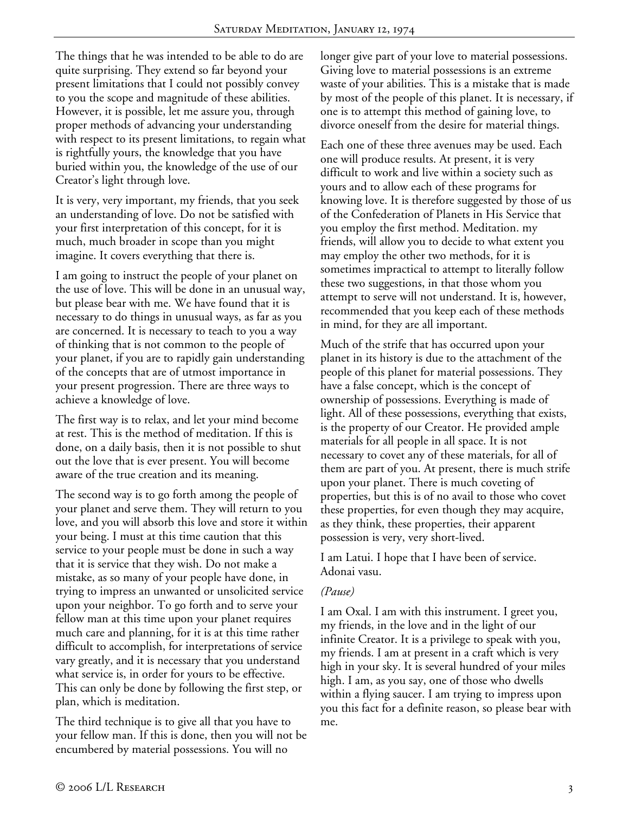The things that he was intended to be able to do are quite surprising. They extend so far beyond your present limitations that I could not possibly convey to you the scope and magnitude of these abilities. However, it is possible, let me assure you, through proper methods of advancing your understanding with respect to its present limitations, to regain what is rightfully yours, the knowledge that you have buried within you, the knowledge of the use of our Creator's light through love.

It is very, very important, my friends, that you seek an understanding of love. Do not be satisfied with your first interpretation of this concept, for it is much, much broader in scope than you might imagine. It covers everything that there is.

I am going to instruct the people of your planet on the use of love. This will be done in an unusual way, but please bear with me. We have found that it is necessary to do things in unusual ways, as far as you are concerned. It is necessary to teach to you a way of thinking that is not common to the people of your planet, if you are to rapidly gain understanding of the concepts that are of utmost importance in your present progression. There are three ways to achieve a knowledge of love.

The first way is to relax, and let your mind become at rest. This is the method of meditation. If this is done, on a daily basis, then it is not possible to shut out the love that is ever present. You will become aware of the true creation and its meaning.

The second way is to go forth among the people of your planet and serve them. They will return to you love, and you will absorb this love and store it within your being. I must at this time caution that this service to your people must be done in such a way that it is service that they wish. Do not make a mistake, as so many of your people have done, in trying to impress an unwanted or unsolicited service upon your neighbor. To go forth and to serve your fellow man at this time upon your planet requires much care and planning, for it is at this time rather difficult to accomplish, for interpretations of service vary greatly, and it is necessary that you understand what service is, in order for yours to be effective. This can only be done by following the first step, or plan, which is meditation.

The third technique is to give all that you have to your fellow man. If this is done, then you will not be encumbered by material possessions. You will no

longer give part of your love to material possessions. Giving love to material possessions is an extreme waste of your abilities. This is a mistake that is made by most of the people of this planet. It is necessary, if one is to attempt this method of gaining love, to divorce oneself from the desire for material things.

Each one of these three avenues may be used. Each one will produce results. At present, it is very difficult to work and live within a society such as yours and to allow each of these programs for knowing love. It is therefore suggested by those of us of the Confederation of Planets in His Service that you employ the first method. Meditation. my friends, will allow you to decide to what extent you may employ the other two methods, for it is sometimes impractical to attempt to literally follow these two suggestions, in that those whom you attempt to serve will not understand. It is, however, recommended that you keep each of these methods in mind, for they are all important.

Much of the strife that has occurred upon your planet in its history is due to the attachment of the people of this planet for material possessions. They have a false concept, which is the concept of ownership of possessions. Everything is made of light. All of these possessions, everything that exists, is the property of our Creator. He provided ample materials for all people in all space. It is not necessary to covet any of these materials, for all of them are part of you. At present, there is much strife upon your planet. There is much coveting of properties, but this is of no avail to those who covet these properties, for even though they may acquire, as they think, these properties, their apparent possession is very, very short-lived.

I am Latui. I hope that I have been of service. Adonai vasu.

## *(Pause)*

I am Oxal. I am with this instrument. I greet you, my friends, in the love and in the light of our infinite Creator. It is a privilege to speak with you, my friends. I am at present in a craft which is very high in your sky. It is several hundred of your miles high. I am, as you say, one of those who dwells within a flying saucer. I am trying to impress upon you this fact for a definite reason, so please bear with me.